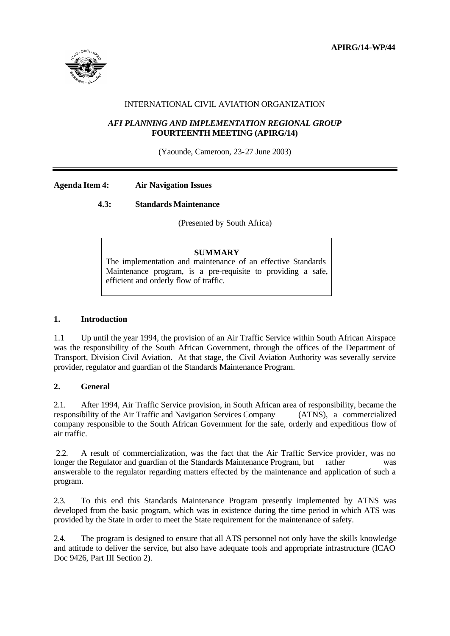

# INTERNATIONAL CIVIL AVIATION ORGANIZATION

### *AFI PLANNING AND IMPLEMENTATION REGIONAL GROUP*  **FOURTEENTH MEETING (APIRG/14)**

(Yaounde, Cameroon, 23-27 June 2003)

### **Agenda Item 4: Air Navigation Issues**

# **4.3: Standards Maintenance**

(Presented by South Africa)

### **SUMMARY**

The implementation and maintenance of an effective Standards Maintenance program, is a pre-requisite to providing a safe, efficient and orderly flow of traffic.

### **1. Introduction**

1.1 Up until the year 1994, the provision of an Air Traffic Service within South African Airspace was the responsibility of the South African Government, through the offices of the Department of Transport, Division Civil Aviation. At that stage, the Civil Aviation Authority was severally service provider, regulator and guardian of the Standards Maintenance Program.

### **2. General**

2.1. After 1994, Air Traffic Service provision, in South African area of responsibility, became the responsibility of the Air Traffic and Navigation Services Company (ATNS), a commercialized company responsible to the South African Government for the safe, orderly and expeditious flow of air traffic.

 2.2. A result of commercialization, was the fact that the Air Traffic Service provider, was no longer the Regulator and guardian of the Standards Maintenance Program, but rather was answerable to the regulator regarding matters effected by the maintenance and application of such a program.

2.3. To this end this Standards Maintenance Program presently implemented by ATNS was developed from the basic program, which was in existence during the time period in which ATS was provided by the State in order to meet the State requirement for the maintenance of safety.

2.4. The program is designed to ensure that all ATS personnel not only have the skills knowledge and attitude to deliver the service, but also have adequate tools and appropriate infrastructure (ICAO Doc 9426, Part III Section 2).